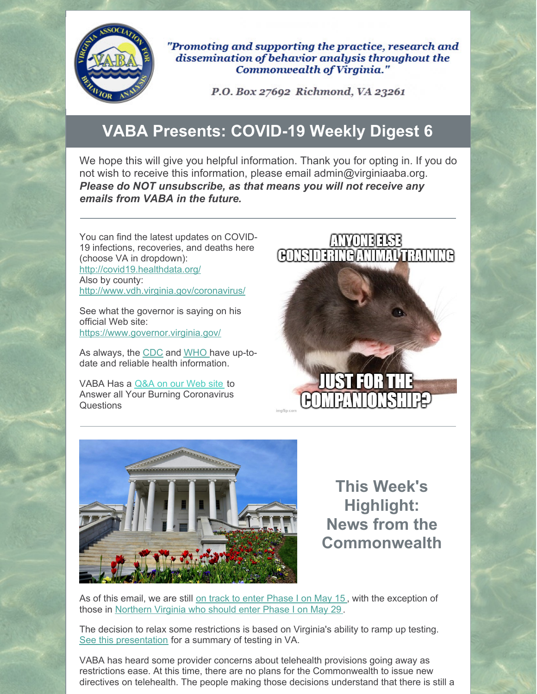

"Promoting and supporting the practice, research and dissemination of behavior analysis throughout the Commonwealth of Virginia."

P.O. Box 27692 Richmond, VA 23261

## **VABA Presents: COVID-19 Weekly Digest 6**

We hope this will give you helpful information. Thank you for opting in. If you do not wish to receive this information, please email admin@virginiaaba.org. *Please do NOT unsubscribe, as that means you will not receive any emails from VABA in the future.*

You can find the latest updates on COVID-19 infections, recoveries, and deaths here (choose VA in dropdown): <http://covid19.healthdata.org/> Also by county: <http://www.vdh.virginia.gov/coronavirus/>

See what the governor is saying on his official Web site: <https://www.governor.virginia.gov/>

As always, the [CDC](https://www.cdc.gov/coronavirus/2019-nCoV/index.html) and [WHO](https://www.who.int/emergencies/diseases/novel-coronavirus-2019) have up-todate and reliable health information.

VABA Has a [Q&A](https://www.virginiaaba.org/information-on-covid-19/) on our Web site to Answer all Your Burning Coronavirus Questions





**This Week's Highlight: News from the Commonwealth**

As of this email, we are still on track to enter [Phase](https://www.governor.virginia.gov/media/governorvirginiagov/executive-actions/EO-61-and-Order-of-Public-Health-Emergency-Three---Phase-One-Easing-Of-Certain-Temporary-Restrictions-Due-To-Novel-Coronavirus-(COVID-19).pdf) I on May 15 , with the exception of those in [Northern](https://www.governor.virginia.gov/newsroom/all-releases/2020/may/headline-856741-en.html) Virginia who should enter Phase I on May 29 .

The decision to relax some restrictions is based on Virginia's ability to ramp up testing. See this [presentation](https://www.virginiaaba.org/wp-content/uploads/2020/05/Healthcare-Coordination-Committee-Testing-Update-5.12.pdf) for a summary of testing in VA.

VABA has heard some provider concerns about telehealth provisions going away as restrictions ease. At this time, there are no plans for the Commonwealth to issue new directives on telehealth. The people making those decisions understand that there is still a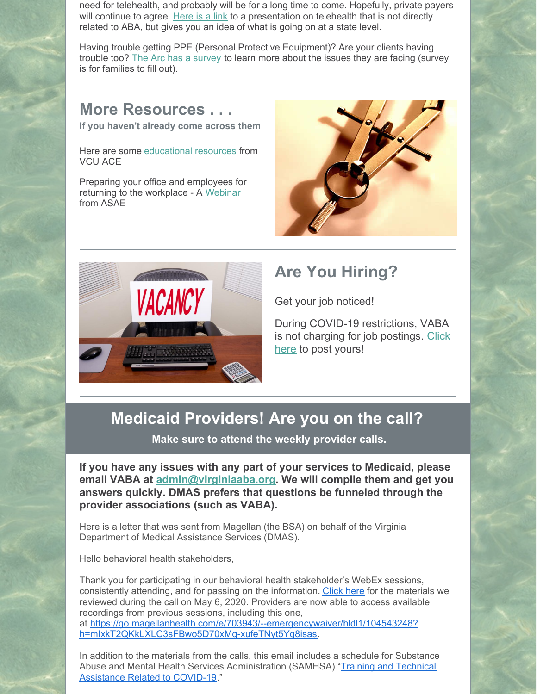need for telehealth, and probably will be for a long time to come. Hopefully, private payers will continue to agree. [Here](https://www.virginiaaba.org/wp-content/uploads/2020/05/COVID-19-Interim-Final-Rule-1.pdf) is a link to a presentation on telehealth that is not directly related to ABA, but gives you an idea of what is going on at a state level.

Having trouble getting PPE (Personal Protective Equipment)? Are your clients having trouble too? The Arc has a [survey](https://docs.google.com/forms/d/e/1FAIpQLSdXOmdeV8ApPqkVaW-eTAarq7V4yVV_ellhP3NNDMLfgm97zA/viewform?fbclid=IwAR23rgbKYHoxS8WzgHzFct8eMHLAUsn8pcb-BCD53_EZDUZFrPhUmgE0OaA) to learn more about the issues they are facing (survey is for families to fill out).

## **More Resources . . .**

**if you haven't already come across them**

Here are some [educational](https://vcuautismcenter.org/te/covid19.cfm) resources from VCU ACE

Preparing your office and employees for returning to the workplace - A [Webinar](https://www.asaecenter.org/meetings/112591-preparing-your-office-and-employees-for-returning-to-the-workplace) from ASAE





## **Are You Hiring?**

Get your job noticed!

During COVID-19 restrictions, VABA is not charging for job [postings.](https://www.virginiaaba.org/product/post-a-job/) Click here to post yours!

## **Medicaid Providers! Are you on the call?**

**Make sure to attend the weekly provider calls.**

**If you have any issues with any part of your services to Medicaid, please email VABA at [admin@virginiaaba.org](mailto:admin@virginiaaba.org). We will compile them and get you answers quickly. DMAS prefers that questions be funneled through the provider associations (such as VABA).**

Here is a letter that was sent from Magellan (the BSA) on behalf of the Virginia Department of Medical Assistance Services (DMAS).

Hello behavioral health stakeholders,

Thank you for participating in our behavioral health stakeholder's WebEx sessions, consistently attending, and for passing on the information. [Click](https://go.magellanhealth.com/e/703943/lth-providers-stakeholders-pdf/hldky/104543248?h=mIxkT2QKkLXLC3sFBwo5D70xMq-xufeTNyt5Yq8isas) here for the materials we reviewed during the call on May 6, 2020. Providers are now able to access available recordings from previous sessions, including this one, at [https://go.magellanhealth.com/e/703943/--emergencywaiver/hldl1/104543248?](https://go.magellanhealth.com/e/703943/--emergencywaiver/hldl1/104543248?h=mIxkT2QKkLXLC3sFBwo5D70xMq-xufeTNyt5Yq8isas) h=mIxkT2QKkLXLC3sFBwo5D70xMq-xufeTNyt5Yq8isas.

In addition to the materials from the calls, this email includes a schedule for Substance Abuse and Mental Health Services [Administration](https://go.magellanhealth.com/e/703943/chnical-assistance-covid19-pdf/hldl3/104543248?h=mIxkT2QKkLXLC3sFBwo5D70xMq-xufeTNyt5Yq8isas) (SAMHSA) "Training and Technical Assistance Related to COVID-19."